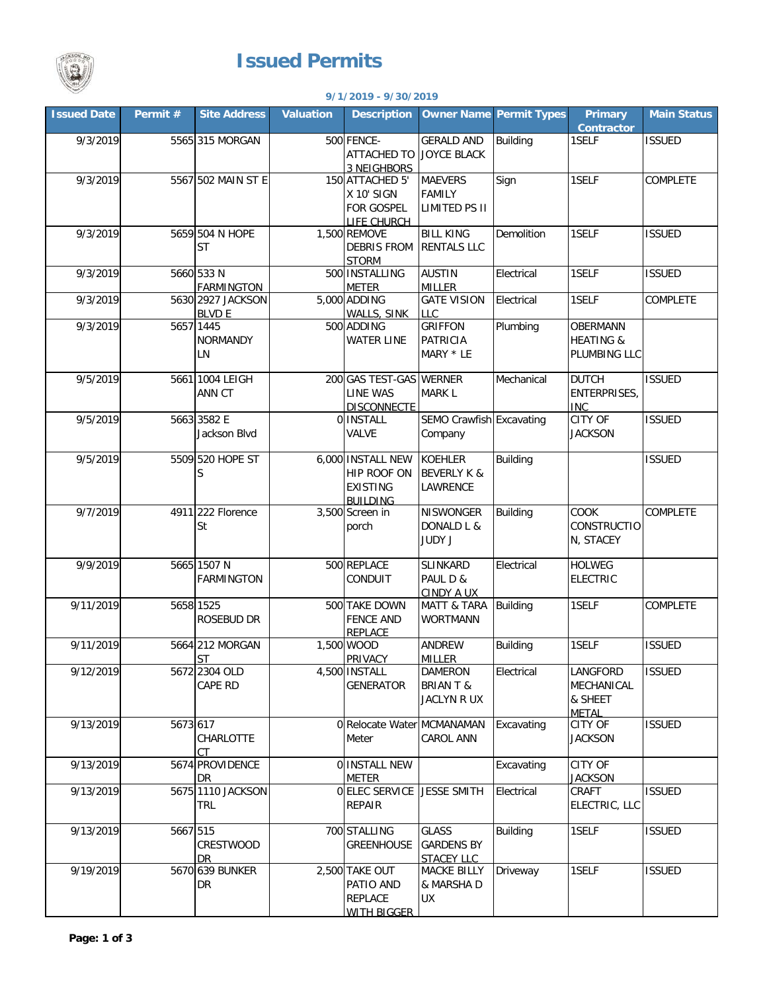

## **Issued Permits**

| <b>Company</b><br>9/1/2019 - 9/30/2019 |          |                                    |                  |                                                                        |                                                              |                                |                                                   |                    |  |
|----------------------------------------|----------|------------------------------------|------------------|------------------------------------------------------------------------|--------------------------------------------------------------|--------------------------------|---------------------------------------------------|--------------------|--|
| <b>Issued Date</b>                     | Permit#  | <b>Site Address</b>                | <b>Valuation</b> | <b>Description</b>                                                     |                                                              | <b>Owner Name Permit Types</b> | <b>Primary</b><br><b>Contractor</b>               | <b>Main Status</b> |  |
| 9/3/2019                               |          | 5565 315 MORGAN                    |                  | <b>500 FENCE-</b><br><b>ATTACHED TO</b><br><b>3 NEIGHBORS</b>          | <b>GERALD AND</b><br><b>JOYCE BLACK</b>                      | <b>Building</b>                | 1SELF                                             | <b>ISSUED</b>      |  |
| 9/3/2019                               |          | 5567 502 MAIN ST E                 |                  | 150 ATTACHED 5'<br>X 10' SIGN<br>FOR GOSPEL<br>LIFE CHURCH             | <b>MAEVERS</b><br><b>FAMILY</b><br>LIMITED PS II             | Sign                           | 1SELF                                             | <b>COMPLETE</b>    |  |
| 9/3/2019                               |          | 5659 504 N HOPE<br>ST              |                  | 1,500 REMOVE<br><b>DEBRIS FROM</b><br><b>STORM</b>                     | <b>BILL KING</b><br><b>RENTALS LLC</b>                       | Demolition                     | 1SELF                                             | <b>ISSUED</b>      |  |
| 9/3/2019                               |          | 5660 533 N<br><b>FARMINGTON</b>    |                  | 500 INSTALLING<br><b>METER</b>                                         | <b>AUSTIN</b><br><b>MILLER</b>                               | Electrical                     | 1SELF                                             | <b>ISSUED</b>      |  |
| 9/3/2019                               |          | 5630 2927 JACKSON<br><b>BLVD E</b> |                  | 5,000 ADDING<br>WALLS, SINK                                            | <b>GATE VISION</b><br><b>LLC</b>                             | Electrical                     | 1SELF                                             | <b>COMPLETE</b>    |  |
| 9/3/2019                               |          | 5657 1445<br><b>NORMANDY</b><br>LN |                  | 500 ADDING<br><b>WATER LINE</b>                                        | <b>GRIFFON</b><br><b>PATRICIA</b><br>MARY * LE               | Plumbing                       | OBERMANN<br><b>HEATING &amp;</b><br>PLUMBING LLC  |                    |  |
| 9/5/2019                               |          | 5661 1004 LEIGH<br>ANN CT          |                  | 200 GAS TEST-GAS WERNER<br><b>LINE WAS</b><br><b>DISCONNECTE</b>       | <b>MARK L</b>                                                | Mechanical                     | <b>DUTCH</b><br>ENTERPRISES,<br><b>INC</b>        | <b>ISSUED</b>      |  |
| 9/5/2019                               |          | 5663 3582 E<br>Jackson Blvd        |                  | 0 INSTALL<br>VALVE                                                     | SEMO Crawfish Excavating<br>Company                          |                                | <b>CITY OF</b><br><b>JACKSON</b>                  | <b>ISSUED</b>      |  |
| 9/5/2019                               |          | 5509 520 HOPE ST<br>S              |                  | 6,000 INSTALL NEW<br>HIP ROOF ON<br><b>EXISTING</b><br><b>BUILDING</b> | <b>KOEHLER</b><br><b>BEVERLY K &amp;</b><br>LAWRENCE         | <b>Building</b>                |                                                   | <b>ISSUED</b>      |  |
| 9/7/2019                               |          | 4911 222 Florence<br>St            |                  | 3,500 Screen in<br>porch                                               | NISWONGER<br>DONALD L &<br>JUDY J                            | Building                       | COOK<br><b>CONSTRUCTIO</b><br>N, STACEY           | COMPLETE           |  |
| 9/9/2019                               |          | 5665 1507 N<br><b>FARMINGTON</b>   |                  | 500 REPLACE<br>CONDUIT                                                 | SLINKARD<br>PAUL D &<br><b>CINDY A UX</b>                    | Electrical                     | <b>HOLWEG</b><br><b>ELECTRIC</b>                  |                    |  |
| 9/11/2019                              |          | 5658 1525<br>ROSEBUD DR            |                  | 500 TAKE DOWN<br><b>FENCE AND</b><br><b>REPLACE</b>                    | <b>MATT &amp; TARA</b><br><b>WORTMANN</b>                    | Building                       | 1SELF                                             | COMPLETE           |  |
| 9/11/2019                              |          | 5664 212 MORGAN<br><b>ST</b>       |                  | 1,500 WOOD<br>PRIVACY                                                  | <b>ANDREW</b><br><b>MILLER</b>                               | <b>Building</b>                | 1SELF                                             | <b>ISSUED</b>      |  |
| 9/12/2019                              |          | 5672 2304 OLD<br>CAPE RD           |                  | 4,500 INSTALL<br><b>GENERATOR</b>                                      | <b>DAMERON</b><br><b>BRIAN T &amp;</b><br><b>JACLYN R UX</b> | Electrical                     | LANGFORD<br>MECHANICAL<br>& SHEET<br><b>METAL</b> | <b>ISSUED</b>      |  |
| 9/13/2019                              | 5673 617 | CHARLOTTE<br><b>CT</b>             |                  | 0 Relocate Water MCMANAMAN<br>Meter                                    | <b>CAROL ANN</b>                                             | Excavating                     | CITY OF<br><b>JACKSON</b>                         | <b>ISSUED</b>      |  |
| 9/13/2019                              |          | 5674 PROVIDENCE<br>DR              |                  | 0 INSTALL NEW<br>METER                                                 |                                                              | Excavating                     | CITY OF<br><b>JACKSON</b>                         |                    |  |
| 9/13/2019                              |          | 5675 1110 JACKSON<br>TRL           |                  | O ELEC SERVICE JESSE SMITH<br><b>REPAIR</b>                            |                                                              | Electrical                     | CRAFT<br>ELECTRIC, LLC                            | <b>ISSUED</b>      |  |
| 9/13/2019                              | 5667 515 | CRESTWOOD<br><b>DR</b>             |                  | 700 STALLING<br><b>GREENHOUSE</b>                                      | <b>GLASS</b><br><b>GARDENS BY</b><br><b>STACEY LLC</b>       | <b>Building</b>                | 1SELF                                             | <b>ISSUED</b>      |  |
| 9/19/2019                              |          | 5670 639 BUNKER<br>DR              |                  | 2,500 TAKE OUT<br>PATIO AND<br><b>REPLACE</b><br><b>WITH BIGGER</b>    | <b>MACKE BILLY</b><br>& MARSHA D<br>UX                       | Driveway                       | 1SELF                                             | <b>ISSUED</b>      |  |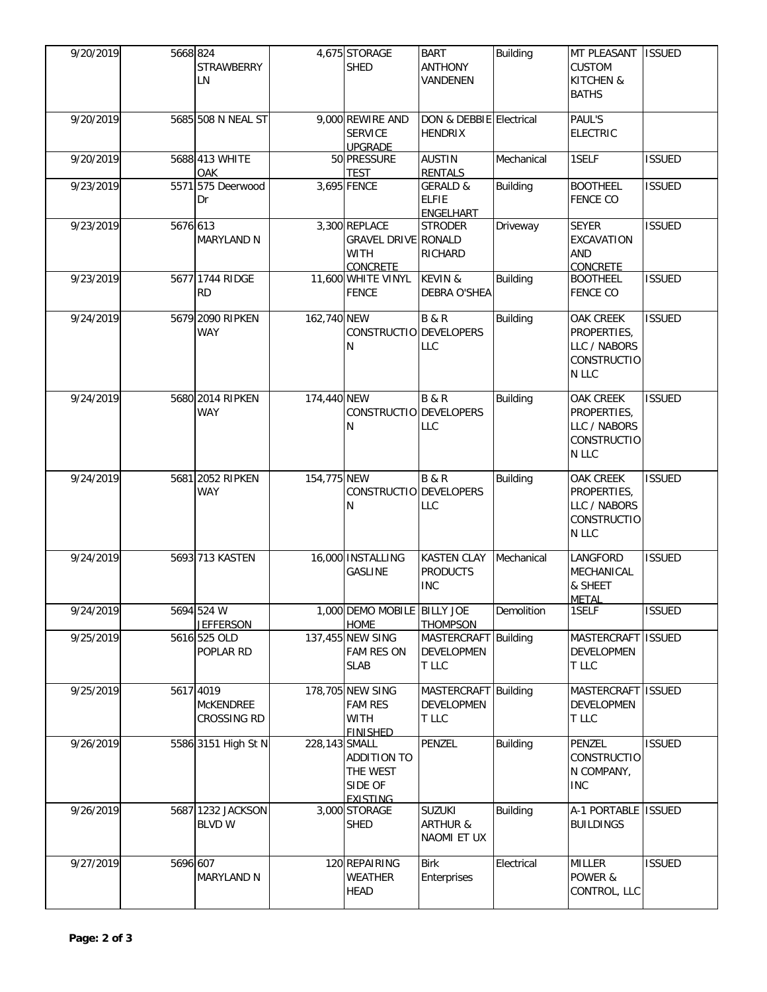| 9/20/2019 | 5668 824 | <b>STRAWBERRY</b><br>LN                      |               | 4,675 STORAGE<br><b>SHED</b>                                                  | <b>BART</b><br><b>ANTHONY</b><br>VANDENEN           | <b>Building</b> | MT PLEASANT<br><b>CUSTOM</b><br>KITCHEN &<br><b>BATHS</b>               | <b>ISSUED</b> |
|-----------|----------|----------------------------------------------|---------------|-------------------------------------------------------------------------------|-----------------------------------------------------|-----------------|-------------------------------------------------------------------------|---------------|
| 9/20/2019 |          | 5685 508 N NEAL ST                           |               | 9,000 REWIRE AND<br><b>SERVICE</b><br><b>UPGRADE</b>                          | DON & DEBBIE Electrical<br><b>HENDRIX</b>           |                 | PAUL'S<br><b>ELECTRIC</b>                                               |               |
| 9/20/2019 |          | 5688 413 WHITE<br>OAK                        |               | 50 PRESSURE<br><b>TEST</b>                                                    | <b>AUSTIN</b><br><b>RENTALS</b>                     | Mechanical      | 1SELF                                                                   | <b>ISSUED</b> |
| 9/23/2019 |          | 5571 575 Deerwood<br>Dr                      |               | 3,695 FENCE                                                                   | <b>GERALD &amp;</b><br><b>ELFIE</b><br>ENGELHART    | <b>Building</b> | <b>BOOTHEEL</b><br><b>FENCE CO</b>                                      | <b>ISSUED</b> |
| 9/23/2019 | 5676 613 | MARYLAND N                                   |               | 3,300 REPLACE<br><b>GRAVEL DRIVE RONALD</b><br><b>WITH</b><br><b>CONCRETE</b> | <b>STRODER</b><br>RICHARD                           | Driveway        | <b>SEYER</b><br>EXCAVATION<br>AND<br><b>CONCRETE</b>                    | <b>ISSUED</b> |
| 9/23/2019 |          | 5677 1744 RIDGE<br>RD                        |               | 11,600 WHITE VINYL<br><b>FENCE</b>                                            | <b>KEVIN &amp;</b><br>DEBRA O'SHEA                  | <b>Building</b> | <b>BOOTHEEL</b><br><b>FENCE CO</b>                                      | <b>ISSUED</b> |
| 9/24/2019 |          | 5679 2090 RIPKEN<br><b>WAY</b>               | 162,740 NEW   | CONSTRUCTIO DEVELOPERS<br>N                                                   | <b>B&amp;R</b><br>LLC                               | <b>Building</b> | OAK CREEK<br>PROPERTIES,<br>LLC / NABORS<br>CONSTRUCTIO<br>N LLC        | <b>ISSUED</b> |
| 9/24/2019 |          | 5680 2014 RIPKEN<br><b>WAY</b>               | 174,440 NEW   | CONSTRUCTIO DEVELOPERS<br>N                                                   | <b>B&amp;R</b><br><b>LLC</b>                        | <b>Building</b> | OAK CREEK<br>PROPERTIES,<br>LLC / NABORS<br>CONSTRUCTIO<br>N LLC        | <b>ISSUED</b> |
| 9/24/2019 |          | 5681 2052 RIPKEN<br><b>WAY</b>               | 154,775 NEW   | CONSTRUCTIO DEVELOPERS<br>N                                                   | <b>B&amp;R</b><br>LLC                               | <b>Building</b> | <b>OAK CREEK</b><br>PROPERTIES,<br>LLC / NABORS<br>CONSTRUCTIO<br>N LLC | <b>ISSUED</b> |
| 9/24/2019 |          | 5693 713 KASTEN                              |               | 16,000 INSTALLING<br><b>GASLINE</b>                                           | <b>KASTEN CLAY</b><br><b>PRODUCTS</b><br><b>INC</b> | Mechanical      | <b>LANGFORD</b><br>MECHANICAL<br>& SHEET<br><b>METAL</b>                | <b>ISSUED</b> |
| 9/24/2019 |          | 5694 524 W<br><b>JEFFERSON</b>               |               | 1,000 DEMO MOBILE BILLY JOE<br><b>HOME</b>                                    | <b>THOMPSON</b>                                     | Demolition      | 1SELF                                                                   | <b>ISSUED</b> |
| 9/25/2019 |          | 5616 525 OLD<br>POPLAR RD                    |               | 137,455 NEW SING<br><b>FAM RES ON</b><br><b>SLAB</b>                          | MASTERCRAFT Building<br>DEVELOPMEN<br>T LLC         |                 | MASTERCRAFT ISSUED<br>DEVELOPMEN<br>T LLC                               |               |
| 9/25/2019 |          | 5617 4019<br><b>MCKENDREE</b><br>CROSSING RD |               | 178,705 NEW SING<br><b>FAM RES</b><br><b>WITH</b><br><b>FINISHED</b>          | MASTERCRAFT Building<br><b>DEVELOPMEN</b><br>T LLC  |                 | MASTERCRAFT ISSUED<br><b>DEVELOPMEN</b><br>T LLC                        |               |
| 9/26/2019 |          | 5586 3151 High St N                          | 228,143 SMALL | <b>ADDITION TO</b><br>THE WEST<br>SIDE OF<br><b>FXISTING</b>                  | PENZEL                                              | <b>Building</b> | PENZEL<br><b>CONSTRUCTIO</b><br>N COMPANY,<br><b>INC</b>                | <b>ISSUED</b> |
| 9/26/2019 |          | 5687 1232 JACKSON<br><b>BLVD W</b>           |               | 3,000 STORAGE<br><b>SHED</b>                                                  | <b>SUZUKI</b><br><b>ARTHUR &amp;</b><br>NAOMI ET UX | <b>Building</b> | A-1 PORTABLE ISSUED<br><b>BUILDINGS</b>                                 |               |
| 9/27/2019 | 5696 607 | <b>MARYLAND N</b>                            |               | 120 REPAIRING<br><b>WEATHER</b><br><b>HEAD</b>                                | <b>Birk</b><br>Enterprises                          | Electrical      | <b>MILLER</b><br>POWER &<br>CONTROL, LLC                                | <b>ISSUED</b> |